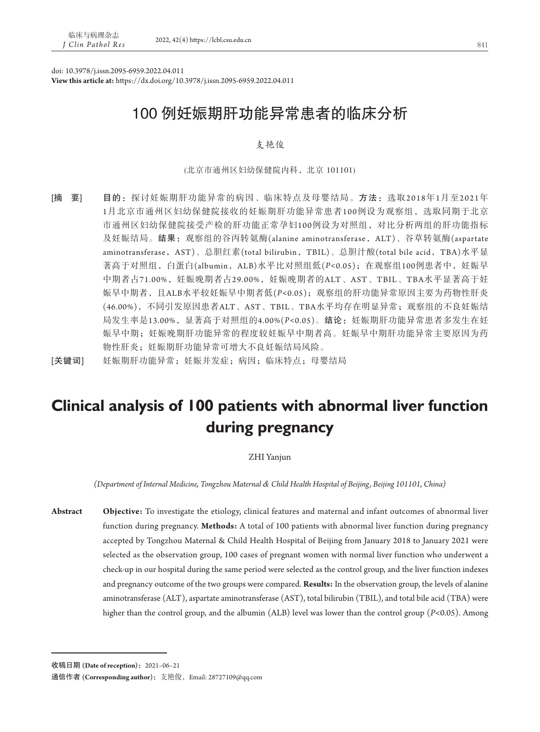doi: 10.3978/j.issn.2095-6959.2022.04.011

**View this article at:** https://dx.doi.org/10.3978/j.issn.2095-6959.2022.04.011

# 100 例妊娠期肝功能异常患者的临床分析

# 支艳俊

(北京市通州区妇幼保健院内科,北京 101101)

- [摘 要] 目的: 探讨妊娠期肝功能异常的病因、临床特点及母婴结局。方法:选取2018年1月至2021年 1月北京市通州区妇幼保健院接收的妊娠期肝功能异常患者100例设为观察组,选取同期于北京 市通州区妇幼保健院接受产检的肝功能正常孕妇100例设为对照组,对比分析两组的肝功能指标 及妊娠结局。结果:观察组的谷丙转氨酶(alanine aminotransferase,ALT)、谷草转氨酶(aspartate aminotransferase, AST)、总胆红素(total bilirubin, TBIL)、总胆汁酸(total bile acid, TBA)水平显 著高于对照组,白蛋白(albumin, ALB)水平比对照组低(P<0.05); 在观察组100例患者中, 妊娠早 中期者占71.00%,妊娠晚期者占29.00%,妊娠晚期者的ALT、AST、TBIL、TBA水平显著高于妊 娠早中期者,且ALB水平较妊娠早中期者低(*P<*0.05);观察组的肝功能异常原因主要为药物性肝炎 (46.00%),不同引发原因患者ALT、AST、TBIL、TBA水平均存在明显异常;观察组的不良妊娠结 局发生率是13.00%, 显著高于对照组的4.00%(P<0.05)。**结论:**妊娠期肝功能异常患者多发生在妊 娠早中期;妊娠晚期肝功能异常的程度较妊娠早中期者高。妊娠早中期肝功能异常主要原因为药 物性肝炎;妊娠期肝功能异常可增大不良妊娠结局风险。
- [关键词] 妊娠期肝功能异常;妊娠并发症;病因;临床特点;母婴结局

# **Clinical analysis of 100 patients with abnormal liver function during pregnancy**

#### ZHI Yanjun

*(Department of Internal Medicine, Tongzhou Maternal & Child Health Hospital of Beijing, Beijing 101101, China)*

**Abstract Objective:** To investigate the etiology, clinical features and maternal and infant outcomes of abnormal liver function during pregnancy. **Methods:** A total of 100 patients with abnormal liver function during pregnancy accepted by Tongzhou Maternal & Child Health Hospital of Beijing from January 2018 to January 2021 were selected as the observation group, 100 cases of pregnant women with normal liver function who underwent a check-up in our hospital during the same period were selected as the control group, and the liver function indexes and pregnancy outcome of the two groups were compared. **Results:** In the observation group, the levels of alanine aminotransferase (ALT), aspartate aminotransferase (AST), total bilirubin (TBIL), and total bile acid (TBA) were higher than the control group, and the albumin (ALB) level was lower than the control group (*P<*0.05). Among

收稿日期 **(Date of reception)**:2021–06–21

通信作者 **(Corresponding author)**:支艳俊,Email: 28727109@qq.com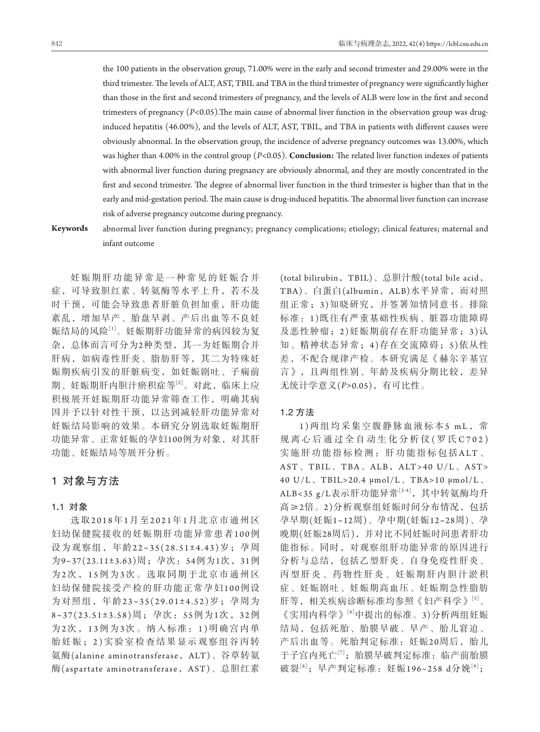the 100 patients in the observation group, 71.00% were in the early and second trimester and 29.00% were in the third trimester. The levels of ALT, AST, TBIL and TBA in the third trimester of pregnancy were significantly higher than those in the first and second trimesters of pregnancy, and the levels of ALB were low in the first and second trimesters of pregnancy (*P<*0.05).The main cause of abnormal liver function in the observation group was druginduced hepatitis (46.00%), and the levels of ALT, AST, TBIL, and TBA in patients with different causes were obviously abnormal. In the observation group, the incidence of adverse pregnancy outcomes was 13.00%, which was higher than 4.00% in the control group (*P<*0.05). **Conclusion:** The related liver function indexes of patients with abnormal liver function during pregnancy are obviously abnormal, and they are mostly concentrated in the first and second trimester. The degree of abnormal liver function in the third trimester is higher than that in the early and mid-gestation period. The main cause is drug-induced hepatitis. The abnormal liver function can increase risk of adverse pregnancy outcome during pregnancy.

**Keywords** abnormal liver function during pregnancy; pregnancy complications; etiology; clinical features; maternal and infant outcome

妊娠期肝功能异常是一种常见的妊娠合并 症,可导致胆红素、转氨酶等水平上升,若不及 时干预,可能会导致患者肝脏负担加重,肝功能 紊乱,增加早产、胎盘早剥、产后出血等不良妊 娠结局的风险[1]。妊娠期肝功能异常的病因较为复 杂,总体而言可分为2种类型,其一为妊娠期合并 肝病,如病毒性肝炎、脂肪肝等,其二为特殊妊 娠期疾病引发的肝脏病变,如妊娠剧吐、子痫前 期、妊娠期肝内胆汁瘀积症等[2]。对此,临床上应 积极展开妊娠期肝功能异常筛查工作,明确其病 因并予以针对性干预,以达到减轻肝功能异常对 妊娠结局影响的效果。本研究分别选取妊娠期肝 功能异常、正常妊娠的孕妇100例为对象,对其肝 功能、妊娠结局等展开分析。

# 1对象与方法

#### 1**.**1对象

选 取2018年1月 至2021年1月北京市通州区 妇幼保健院接收的妊娠期肝功能异常患者100例 设为观察组,年龄22~35(28.51±4.43)岁;孕周 为9~37(23.11±3.63)周;孕次:54例为1次,31例 为2次 ,1 5例 为3次。选取同期于北京市通州区 妇幼保健院接受产检的肝功能正常孕妇100例设 为对照组,年龄23~35(29.01±4.52)岁;孕周为 8~37(23.51±3.58)周;孕次:5 5例为1次,3 2例 为2次 ,1 3例 为3次。纳入标准:1 )明确宫内单 胎妊娠;2 )实验室检查结果显示观察组谷丙转 氨酶(alanine aminotransferase, ALT)、谷草转氨 酶(aspartate aminotransferase, AST)、总胆红素

(total bilirubin,TBIL)、总胆汁酸(total bile acid, TBA)、白蛋白(albumin,ALB)水平异常,而对照 组正常;3 )知晓研究,并签署知情同意书。排除 标准:1 )既往有严重基础性疾病、脏器功能障碍 及恶性肿瘤; 2)妊娠期前存在肝功能异常; 3)认 知、精神状态异常;4)存在交流障碍;5)依从性 差,不配合规律产检。本研究满足《赫尔辛基宣 言》,且两组性别、年龄及疾病分期比较,差异 无统计学意义(*P>*0.05),有可比性。

# 1**.**2 方法

1 )两组均采集空腹静脉血液标本5 mL, 常 规离心后通过全自动生化分析仪 (罗氏C702) 实施肝功能指标检测:肝功能指标包括ALT 、 AST、TBIL、TBA、ALB,ALT>40 U/L、AST> 40 U/L、TBIL>20.4 μmol/L、TBA>10 μmol/L、 ALB<35 g/L表示肝功能异常[3-4], 其中转氨酶均升 高≥2倍。2)分析观察组妊娠时间分布情况,包括 孕早期(妊娠1~12周)、孕中期(妊娠12~28周)、孕 晚期(妊娠28周后),并对比不同妊娠时间患者肝功 能指标。同时,对观察组肝功能异常的原因进行 分析与总结,包括乙型肝炎、自身免疫性肝炎、 丙型肝炎、药物性肝炎、妊娠期肝内胆汁淤积 症、妊娠剧吐、妊娠期高血压、妊娠期急性脂肪 肝等,相关疾病诊断标准均参照《妇产科学》[5]、 《实用内科学》[6]中提出的标准。3)分析两组妊娠 结局,包括死胎、胎膜早破、早产、胎儿窘迫、 产后出血等。死胎判定标准:妊娠20周后,胎儿 于子宫内死亡[7];胎膜早破判定标准:临产前胎膜 破裂<sup>[8]</sup>;早产判定标准:妊娠196~258 d分娩<sup>[9]</sup>;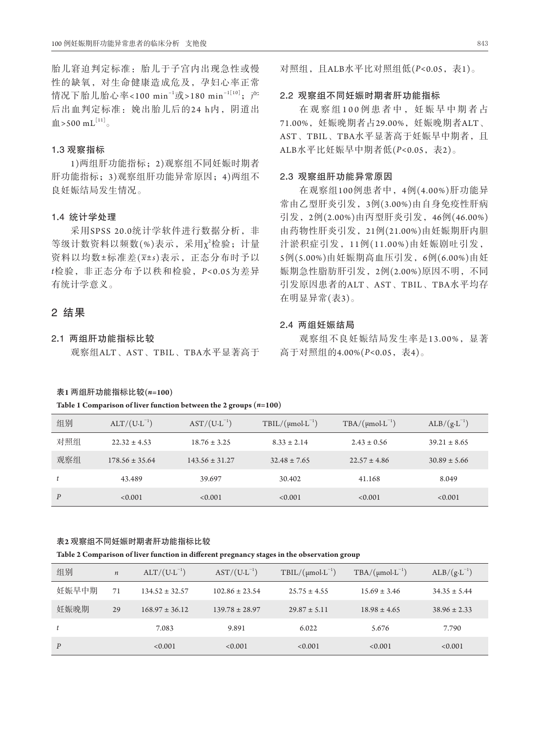胎儿窘迫判定标准:胎儿于子宫内出现急性或慢 性的缺氧,对生命健康造成危及,孕妇心率正常 情况下胎儿胎心率<100 min<sup>−1</sup>或>180 min<sup>−1[10]</sup>; 产 后出血判定标准: 娩出胎儿后的24 h内, 阴道出  $\text{III} > 500 \text{ mL}^{[11]}$ 

# 1**.**3 观察指标

1)两组肝功能指标;2)观察组不同妊娠时期者 肝功能指标;3)观察组肝功能异常原因;4)两组不 良妊娠结局发生情况。

#### 1**.**4统计学处理

采用SPSS 20.0统计学软件进行数据分析, 非 等级计数资料以频数(%)表示,采用 $\chi^2$ 检验; 计量 资料以均数±标准差(*x*±*s*)表示,正态分布时予以 *t*检验,非正态分布予以秩和检验,*P<*0.05为差异 有统计学意义。

# 2结果

# 2**.**1两组肝功能指标比较

观察组ALT、AST、TBIL、TBA水平显著高于

# 对照组,且ALB水平比对照组低(*P<*0.05,表1)。

# 2**.**2观察组不同妊娠时期者肝功能指标

在观察组100例患者中,妊娠早中期者占 71.00%,妊娠晚期者占29.00%,妊娠晚期者ALT、 AST、TBIL、TBA水平显著高于妊娠早中期者,且 ALB水平比妊娠早中期者低(*P<*0.05,表2)。

# 2**.**3观察组肝功能异常原因

在观察组100例患者中,4例(4.00%)肝功能异 常由乙型肝炎引发,3例(3.00%)由自身免疫性肝病 引发,2例(2.00%)由丙型肝炎引发,46例(46.00%) 由药物性肝炎引发,21例(21.00%)由妊娠期肝内胆 汁淤积症引发,1 1例(11.00%)由妊娠剧吐引发, 5例(5.00%)由妊娠期高血压引发,6例(6.00%)由妊 娠期急性脂肪肝引发,2例(2.00%)原因不明,不同 引发原因患者的ALT、AST、TBIL、TBA水平均存 在明显异常(表3)。

# 2**.**4两组妊娠结局

观察组不良妊娠结局发生率是13.00%,显著 高于对照组的4.00%(*P<*0.05,表4)。

# 表**1** 两组肝功能指标比较**(***n***=100)**

**Table 1 Comparison of liver function between the 2 groups (***n***=100)**

| 组别               | $ALT/(U \cdot L^{-1})$ | $AST/(U \cdot L^{-1})$ | $TBIL/(\mu mol \cdot L^{-1})$ | $TBA/(\mu mol \cdot L^{-1})$ | $ALB/(g \cdot L^{-1})$ |
|------------------|------------------------|------------------------|-------------------------------|------------------------------|------------------------|
| 对照组              | $22.32 \pm 4.53$       | $18.76 \pm 3.25$       | $8.33 \pm 2.14$               | $2.43 \pm 0.56$              | $39.21 \pm 8.65$       |
| 观察组              | $178.56 \pm 35.64$     | $143.56 \pm 31.27$     | $32.48 \pm 7.65$              | $22.57 \pm 4.86$             | $30.89 \pm 5.66$       |
| t                | 43.489                 | 39.697                 | 30.402                        | 41.168                       | 8.049                  |
| $\boldsymbol{P}$ | < 0.001                | < 0.001                | < 0.001                       | < 0.001                      | < 0.001                |

#### 表**2** 观察组不同妊娠时期者肝功能指标比较

#### **Table 2 Comparison of liver function in different pregnancy stages in the observation group**

| 组别               | $\boldsymbol{n}$ | $ALT/(U \cdot L^{-1})$ | $AST/(U \cdot L^{-1})$ | $TBIL/(\mu mol \cdot L^{-1})$ | $TBA/(\mu mol \cdot L^{-1})$ | $ALB/(g \cdot L^{-1})$ |
|------------------|------------------|------------------------|------------------------|-------------------------------|------------------------------|------------------------|
| 妊娠早中期            | 71               | $134.52 \pm 32.57$     | $102.86 \pm 23.54$     | $25.75 \pm 4.55$              | $15.69 \pm 3.46$             | $34.35 \pm 5.44$       |
| 妊娠晚期             | 29               | $168.97 \pm 36.12$     | $139.78 \pm 28.97$     | $29.87 \pm 5.11$              | $18.98 \pm 4.65$             | $38.96 \pm 2.33$       |
| t                |                  | 7.083                  | 9.891                  | 6.022                         | 5.676                        | 7.790                  |
| $\boldsymbol{P}$ |                  | < 0.001                | < 0.001                | < 0.001                       | < 0.001                      | < 0.001                |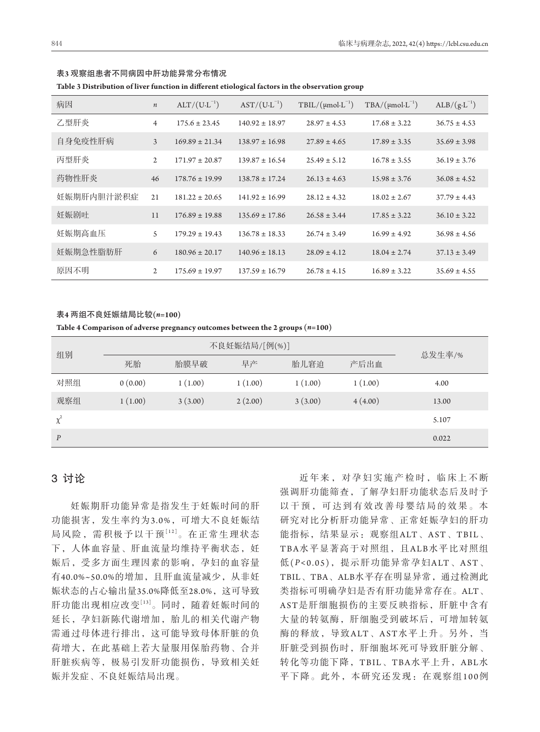| 病因         | $\boldsymbol{n}$ | $ALT/(U.L^{-1})$   | $AST/(U \cdot L^{-1})$ | $TBIL/(\mu mol \cdot L^{-1})$ | $TBA/(\mu mol \cdot L^{-1})$ | $ALB/(g \cdot L^{-1})$ |
|------------|------------------|--------------------|------------------------|-------------------------------|------------------------------|------------------------|
| 乙型肝炎       | $\overline{4}$   | $175.6 \pm 23.45$  | $140.92 \pm 18.97$     | $28.97 \pm 4.53$              | $17.68 \pm 3.22$             | $36.75 \pm 4.53$       |
| 自身免疫性肝病    | 3                | $169.89 \pm 21.34$ | $138.97 \pm 16.98$     | $27.89 \pm 4.65$              | $17.89 \pm 3.35$             | $35.69 \pm 3.98$       |
| 丙型肝炎       | $\overline{2}$   | $171.97 \pm 20.87$ | $139.87 \pm 16.54$     | $25.49 \pm 5.12$              | $16.78 \pm 3.55$             | $36.19 \pm 3.76$       |
| 药物性肝炎      | 46               | $178.76 \pm 19.99$ | $138.78 \pm 17.24$     | $26.13 \pm 4.63$              | $15.98 \pm 3.76$             | $36.08 \pm 4.52$       |
| 妊娠期肝内胆汁淤积症 | 21               | $181.22 \pm 20.65$ | $141.92 \pm 16.99$     | $28.12 \pm 4.32$              | $18.02 \pm 2.67$             | $37.79 \pm 4.43$       |
| 妊娠剧吐       | 11               | $176.89 \pm 19.88$ | $135.69 \pm 17.86$     | $26.58 \pm 3.44$              | $17.85 \pm 3.22$             | $36.10 \pm 3.22$       |
| 妊娠期高血压     | 5                | $179.29 \pm 19.43$ | $136.78 \pm 18.33$     | $26.74 \pm 3.49$              | $16.99 \pm 4.92$             | $36.98 \pm 4.56$       |
| 妊娠期急性脂肪肝   | 6                | $180.96 \pm 20.17$ | $140.96 \pm 18.13$     | $28.09 \pm 4.12$              | $18.04 \pm 2.74$             | $37.13 \pm 3.49$       |
| 原因不明       | 2                | $175.69 \pm 19.97$ | $137.59 \pm 16.79$     | $26.78 \pm 4.15$              | $16.89 \pm 3.22$             | $35.69 \pm 4.55$       |

#### 表**3** 观察组患者不同病因中肝功能异常分布情况

**Table 3 Distribution of liver function in different etiological factors in the observation group**

#### 表**4** 两组不良妊娠结局比较**(***n***=100)**

**Table 4 Comparison of adverse pregnancy outcomes between the 2 groups (***n***=100)**

| 组别               | 死胎      | 胎膜早破    | 早产      | 胎儿窘迫    | 产后出血    | 总发生率/% |
|------------------|---------|---------|---------|---------|---------|--------|
| 对照组              | 0(0.00) | 1(1.00) | 1(1.00) | 1(1.00) | 1(1.00) | 4.00   |
| 观察组              | 1(1.00) | 3(3.00) | 2(2.00) | 3(3.00) | 4(4.00) | 13.00  |
| $\chi^2$         |         |         |         |         |         | 5.107  |
| $\boldsymbol{P}$ |         |         |         |         |         | 0.022  |

# 3讨论

妊娠期肝功能异常是指发生于妊娠时间的肝 功能损害,发生率约为3.0%,可增大不良妊娠结 局风险,需积极予以干预[12]。在正常生理状态 下,人体血容量、肝血流量均维持平衡状态, 妊 娠后,受多方面生理因素的影响,孕妇的血容量 有40.0%~50.0%的增加,且肝血流量减少,从非妊 娠状态的占心输出量35.0%降低至28.0%,这可导致 肝功能出现相应改变[13]。同时,随着妊娠时间的 延长,孕妇新陈代谢增加,胎儿的相关代谢产物 需通过母体进行排出,这可能导致母体肝脏的负 荷增大,在此基础上若大量服用保胎药物、合并 肝脏疾病等,极易引发肝功能损伤,导致相关妊 娠并发症、不良妊娠结局出现。

近年来,对孕妇实施产检时,临床上不断 强调肝功能筛查,了解孕妇肝功能状态后及时予 以干预,可达到有效改善母婴结局的效果。本 研究对比分析肝功能异常、正常妊娠孕妇的肝功 能指标,结果显示:观察组ALT、AST、TBIL、 TBA水平显著高于对照组,且ALB水平比对照组 低(*P <*0.05),提示肝功能异常孕妇ALT、AST、 TBIL、TBA、ALB水平存在明显异常,通过检测此 类指标可明确孕妇是否有肝功能异常存在。ALT、 AST是肝细胞损伤的主要反映指标,肝脏中含有 大量的转氨酶,肝细胞受到破坏后,可增加转氨 酶的释放,导致ALT、AST水平上升。另外,当 肝脏受到损伤时,肝细胞坏死可导致肝脏分解、 转化等功能下降,TBIL、TBA水平上升,ABL水 平下降。此外,本研究还发现:在观察组100例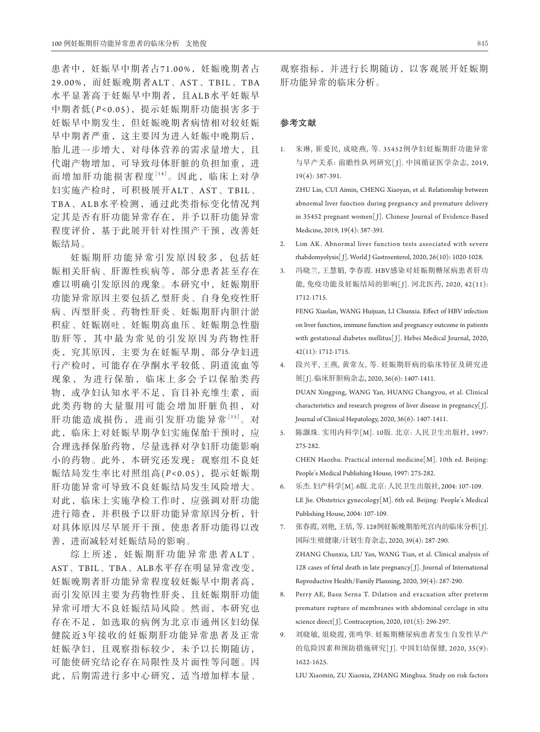患者中,妊娠早中期者占71.00%,妊娠晚期者占 29.00%,而妊娠晚期者ALT、AST、TBIL、TBA 水平显著高于妊娠早中期者,且ALB水平妊娠早 中期者低(*P <*0.05),提示妊娠期肝功能损害多于 妊娠早中期发生,但妊娠晚期者病情相对较妊娠 早中期者严重,这主要因为进入妊娠中晚期后, 胎儿进一步增大,对母体营养的需求量增大,且 代谢产物增加,可导致母体肝脏的负担加重,进 而增加肝功能损害程度[14]。因此,临床上对孕 妇实施产检时,可积极展开ALT、AST、TBIL、 TBA、ALB水平检测,通过此类指标变化情况判 定其是否有肝功能异常存在,并予以肝功能异常 程度评价,基于此展开针对性围产干预,改善妊 娠结局。

妊娠期肝功能异常引发原因较多,包括妊 娠相关肝病、肝源性疾病等,部分患者甚至存在 难以明确引发原因的现象。本研究中,妊娠期肝 功能异常原因主要包括乙型肝炎、自身免疫性肝 病、丙型肝炎、药物性肝炎、妊娠期肝内胆汁淤 积症、妊娠剧吐、妊娠期高血压、妊娠期急性脂 肪肝等,其中最为常见的引发原因为药物性肝 炎,究其原因,主要为在妊娠早期,部分孕妇进 行产检时,可能存在孕酮水平较低、阴道流血等 现象,为进行保胎,临床上多会予以保胎类药 物,或孕妇认知水平不足,盲目补充维生素,而 此类药物的大量服用可能会增加肝脏负担,对 肝功能造成损伤,进而引发肝功能异常[15]。 对 此,临床上对妊娠早期孕妇实施保胎干预时,应 合理选择保胎药物,尽量选择对孕妇肝功能影响 小的药物。此外,本研究还发现:观察组不良妊 娠结局发生率比对照组高(*P <*0.05),提示妊娠期 肝功能异常可导致不良妊娠结局发生风险增大。 对此,临床上实施孕检工作时,应强调对肝功能 进行筛查,并积极予以肝功能异常原因分析,针 对具体原因尽早展开干预,使患者肝功能得以改 善,进而减轻对妊娠结局的影响。

综上所述, 妊娠期肝功能异常患者 ALT、 AST、TBIL、TBA、ALB水平存在明显异常改变, 妊娠晚期者肝功能异常程度较妊娠早中期者高, 而引发原因主要为药物性肝炎,且妊娠期肝功能 异常可增大不良妊娠结局风险。然而,本研究也 存在不足,如选取的病例为北京市通州区妇幼保 健院近3年接收的妊娠期肝功能异常患者及正常 妊娠孕妇,且观察指标较少,未予以长期随访, 可能使研究结论存在局限性及片面性等问题。因 此,后期需进行多中心研究,适当增加样本量、

#### 参考文献

1. 朱琳, 崔爱民, 成晓燕, 等. 35452例孕妇妊娠期肝功能异常 与早产关系: 前瞻性队列研究[ J]. 中国循证医学杂志, 2019, 19(4): 387-391.

 ZHU Lin, CUI Aimin, CHENG Xiaoyan, et al. Relationship between abnormal liver function during pregnancy and premature delivery in 35452 pregnant women[ J]. Chinese Journal of Evidence-Based Medicine, 2019, 19(4): 387-391.

- 2. Lim AK. Abnormal liver function tests associated with severe rhabdomyolysis[ J]. World J Gastroenterol, 2020, 26(10): 1020-1028.
- 3. 冯晓兰, 王慧娟, 李春霞. HBV感染对妊娠期糖尿病患者肝功 能, 免疫功能及妊娠结局的影响[J]. 河北医药, 2020, 42(11): 1712-1715.

 FENG Xiaolan, WANG Huijuan, LI Chunxia. Effect of HBV infection on liver function, immune function and pregnancy outcome in patients with gestational diabetes mellitus[ J]. Hebei Medical Journal, 2020, 42(11): 1712-1715.

- 4. 段兴平, 王燕, 黄常友, 等. 妊娠期肝病的临床特征及研究进 展[ J]. 临床肝胆病杂志, 2020, 36(6): 1407-1411. DUAN Xingping, WANG Yan, HUANG Changyou, et al. Clinical characteristics and research progress of liver disease in pregnancy<br>[J].  $\,$ Journal of Clinical Hepatology, 2020, 36(6): 1407-1411.
- 5. 陈灏珠. 实用内科学[M]. 10版. 北京: 人民卫生出版社, 1997: 275-282.

 CHEN Haozhu. Practical internal medicine[M]. 10th ed. Beijing: People's Medical Publishing House, 1997: 275-282.

- 6. 乐杰. 妇产科学[M]. 6版. 北京: 人民卫生出版社, 2004: 107-109. LE Jie. Obstetrics gynecology[M]. 6th ed. Beijing: People's Medical Publishing House, 2004: 107-109.
- 7. 张春霞, 刘艳, 王恬, 等. 128例妊娠晚期胎死宫内的临床分析[ J]. 国际生殖健康/计划生育杂志, 2020, 39(4): 287-290. ZHANG Chunxia, LIU Yan, WANG Tian, et al. Clinical analysis of 128 cases of fetal death in late pregnancy[J]. Journal of International Reproductive Health/Family Planning, 2020, 39(4): 287-290.
- 8. Perry AE, Basu Serna T. Dilation and evacuation after preterm premature rupture of membranes with abdominal cerclage in situ science direct[J]. Contraception, 2020, 101(5): 296-297.
- 9. 刘晓敏, 俎晓霞, 张鸣华. 妊娠期糖尿病患者发生自发性早产 的危险因素和预防措施研究[ J]. 中国妇幼保健, 2020, 35(9): 1622-1625.

LIU Xiaomin, ZU Xiaoxia, ZHANG Minghua. Study on risk factors